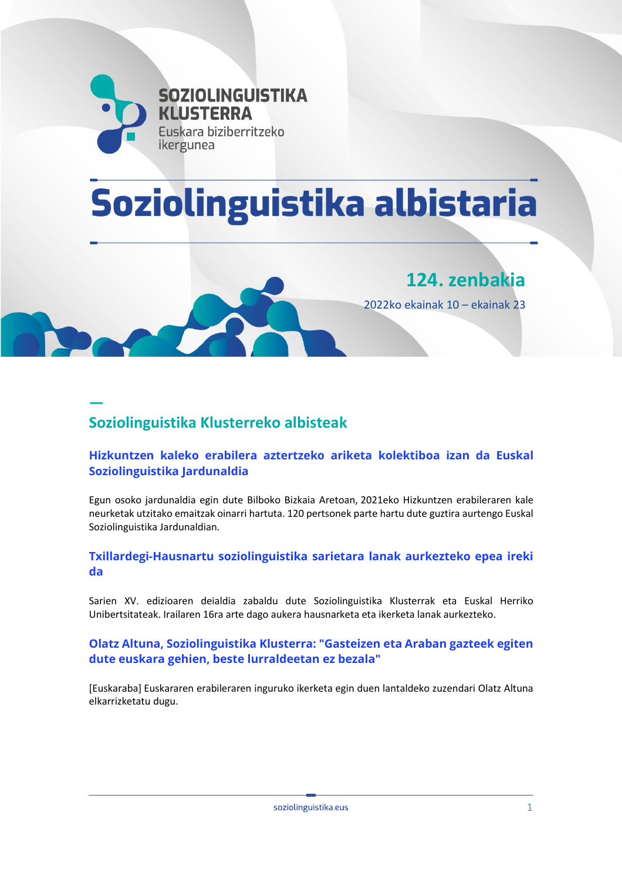

# Soziolinguistika albistaria



**124. zenbakia**

2022ko ekainak 10 – ekainak 23

# **— Soziolinguistika Klusterreko albisteak**

## **[Hizkuntzen kaleko erabilera aztertzeko ariketa kolektiboa izan da Euskal](https://emun.intelsuite.es/index.php?option=com_idkjournal&task=redirect&plugin=k2_p1&iid=30897&journalid=62b42e0d66924&title=Hizkuntzen+kaleko+erabilera+aztertzeko+ariketa+kolektiboa+izan+da+Euskal+Soziolinguistika+Jardunaldia&url=aHR0cHM6Ly9zb3ppb2xpbmd1aXN0aWthLmV1cy9ldS8yMDIyLzA2LzIyL2hpemt1bnR6ZW4ta2FsZWtvLWVyYWJpbGVyYS1henRlcnR6ZWtvLWFyaWtldGEta29sZWt0aWJvYS1pemFuLWRhLWV1c2thbC1zb3ppb2xpbmd1aXN0aWthLWphcmR1bmFsZGlhLw==)  [Soziolinguistika Jardunaldia](https://emun.intelsuite.es/index.php?option=com_idkjournal&task=redirect&plugin=k2_p1&iid=30897&journalid=62b42e0d66924&title=Hizkuntzen+kaleko+erabilera+aztertzeko+ariketa+kolektiboa+izan+da+Euskal+Soziolinguistika+Jardunaldia&url=aHR0cHM6Ly9zb3ppb2xpbmd1aXN0aWthLmV1cy9ldS8yMDIyLzA2LzIyL2hpemt1bnR6ZW4ta2FsZWtvLWVyYWJpbGVyYS1henRlcnR6ZWtvLWFyaWtldGEta29sZWt0aWJvYS1pemFuLWRhLWV1c2thbC1zb3ppb2xpbmd1aXN0aWthLWphcmR1bmFsZGlhLw==)**

Egun osoko jardunaldia egin dute Bilboko Bizkaia Aretoan, 2021eko Hizkuntzen erabileraren kale neurketak utzitako emaitzak oinarri hartuta. 120 pertsonek parte hartu dute guztira aurtengo Euskal Soziolinguistika Jardunaldian.

#### **[Txillardegi-Hausnartu soziolinguistika sarietara lanak aurkezteko epea ireki](https://emun.intelsuite.es/index.php?option=com_idkjournal&task=redirect&plugin=k2_p1&iid=30874&journalid=62b42e0d66924&title=Txillardegi-Hausnartu+soziolinguistika+sarietara+lanak+aurkezteko+epea+ireki+da&url=aHR0cHM6Ly9zb3ppb2xpbmd1aXN0aWthLmV1cy9ldS8yMDIyLzA2LzE0L3R4aWxsYXJkZWdpLWhhdXNuYXJ0dS1zb3ppb2xpbmd1aXN0aWthLXNhcmlldGFyYS1sYW5hay1hdXJrZXp0ZWtvLWVwZWEtaXJla2ktZGEtMy8=)  [da](https://emun.intelsuite.es/index.php?option=com_idkjournal&task=redirect&plugin=k2_p1&iid=30874&journalid=62b42e0d66924&title=Txillardegi-Hausnartu+soziolinguistika+sarietara+lanak+aurkezteko+epea+ireki+da&url=aHR0cHM6Ly9zb3ppb2xpbmd1aXN0aWthLmV1cy9ldS8yMDIyLzA2LzE0L3R4aWxsYXJkZWdpLWhhdXNuYXJ0dS1zb3ppb2xpbmd1aXN0aWthLXNhcmlldGFyYS1sYW5hay1hdXJrZXp0ZWtvLWVwZWEtaXJla2ktZGEtMy8=)**

Sarien XV. edizioaren deialdia zabaldu dute Soziolinguistika Klusterrak eta Euskal Herriko Unibertsitateak. Irailaren 16ra arte dago aukera hausnarketa eta ikerketa lanak aurkezteko.

#### **Olatz [Altuna, Soziolinguistika Klusterra: "Gasteizen eta Araban gazteek egiten](https://emun.intelsuite.es/index.php?option=com_idkjournal&task=redirect&plugin=k2_p1&iid=30873&journalid=62b42e0d66924&title=Olatz+Altuna%2C+Soziolinguistika+Klusterra%3A+%E2%80%9CGasteizen+eta+Araban+gazteek+egiten+dute+euskara+gehien%2C+beste+lurraldeetan+ez+bezala%E2%80%9D&url=aHR0cHM6Ly9ldXNrYXJhYmEuZXVzL29sYXR6LWFsdHVuYS1zb3ppb2xpbmd1aXN0aWthLWtsdXN0ZXJyYS1nYXN0ZWl6ZW4tZXRhLWFyYWJhbi1nYXp0ZWVrLWVnaXRlbi1kdXRlLWV1c2thcmEtZ2VoaWVuLWJlc3RlLWx1cnJhbGRlZXRhbi1lei1iZXphbGEv)  [dute euskara gehien, beste lurraldeetan ez bezala"](https://emun.intelsuite.es/index.php?option=com_idkjournal&task=redirect&plugin=k2_p1&iid=30873&journalid=62b42e0d66924&title=Olatz+Altuna%2C+Soziolinguistika+Klusterra%3A+%E2%80%9CGasteizen+eta+Araban+gazteek+egiten+dute+euskara+gehien%2C+beste+lurraldeetan+ez+bezala%E2%80%9D&url=aHR0cHM6Ly9ldXNrYXJhYmEuZXVzL29sYXR6LWFsdHVuYS1zb3ppb2xpbmd1aXN0aWthLWtsdXN0ZXJyYS1nYXN0ZWl6ZW4tZXRhLWFyYWJhbi1nYXp0ZWVrLWVnaXRlbi1kdXRlLWV1c2thcmEtZ2VoaWVuLWJlc3RlLWx1cnJhbGRlZXRhbi1lei1iZXphbGEv)**

[Euskaraba] Euskararen erabileraren inguruko ikerketa egin duen lantaldeko zuzendari Olatz Altuna elkarrizketatu dugu.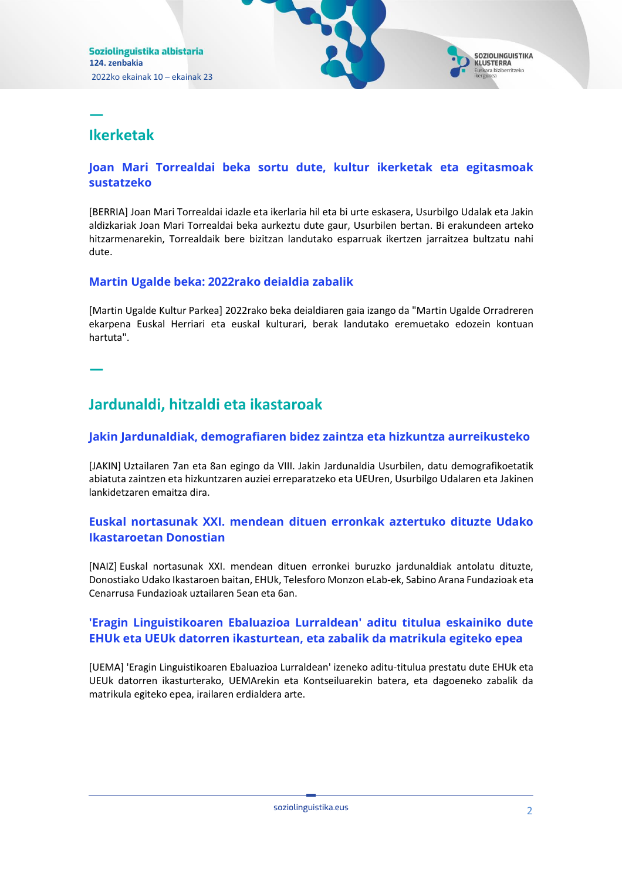# **Ikerketak**

**—**

#### **[Joan Mari Torrealdai beka sortu dute, kultur ikerketak eta egitasmoak](https://emun.intelsuite.es/index.php?option=com_idkjournal&task=redirect&plugin=k2_p1&iid=30877&journalid=62b42e0d66924&title=Joan+Mari+Torrealdai+beka+sortu+dute%2C+kultur+ikerketak+eta+egitasmoak+sustatzeko&url=aHR0cHM6Ly93d3cuYmVycmlhLmV1cy9hbGJpc3RlYWsvMjE0NzM5L2pvYW4tbWFyaS10b3JyZWFsZGFpLWJla2Etc29ydHUtZHV0ZS1rdWx0dXItaWtlcmtldGFrLWV0YS1lZ2l0YXNtb2FrLXN1c3RhdHpla28uaHRt)  [sustatzeko](https://emun.intelsuite.es/index.php?option=com_idkjournal&task=redirect&plugin=k2_p1&iid=30877&journalid=62b42e0d66924&title=Joan+Mari+Torrealdai+beka+sortu+dute%2C+kultur+ikerketak+eta+egitasmoak+sustatzeko&url=aHR0cHM6Ly93d3cuYmVycmlhLmV1cy9hbGJpc3RlYWsvMjE0NzM5L2pvYW4tbWFyaS10b3JyZWFsZGFpLWJla2Etc29ydHUtZHV0ZS1rdWx0dXItaWtlcmtldGFrLWV0YS1lZ2l0YXNtb2FrLXN1c3RhdHpla28uaHRt)**

[BERRIA] Joan Mari Torrealdai idazle eta ikerlaria hil eta bi urte eskasera, Usurbilgo Udalak eta Jakin aldizkariak Joan Mari Torrealdai beka aurkeztu dute gaur, Usurbilen bertan. Bi erakundeen arteko hitzarmenarekin, Torrealdaik bere bizitzan landutako esparruak ikertzen jarraitzea bultzatu nahi dute.

#### **[Martin Ugalde beka: 2022rako deialdia zabalik](https://emun.intelsuite.es/index.php?option=com_idkjournal&task=redirect&plugin=k2_p1&iid=30885&journalid=62b42e0d66924&title=Martin+Ugalde+beka%3A+2022rako+deialdia+zabalik&url=aHR0cHM6Ly93d3cua3VsdHVycGFya2VhLmV1cy9hbGJpc3RlYWsvbWFydGluLXVnYWxkZS1iZWthLTIwMjJyYWtvLWRlaWFsZGlhLXphYmFsaWsv)**

[Martin Ugalde Kultur Parkea] 2022rako beka deialdiaren gaia izango da "Martin Ugalde Orradreren ekarpena Euskal Herriari eta euskal kulturari, berak landutako eremuetako edozein kontuan hartuta".

**—**

# **Jardunaldi, hitzaldi eta ikastaroak**

#### **[Jakin Jardunaldiak, demografiaren bidez zaintza eta hizkuntza aurreikusteko](https://emun.intelsuite.es/index.php?option=com_idkjournal&task=redirect&plugin=k2_p1&iid=30887&journalid=62b42e0d66924&title=Jakin+Jardunaldiak%2C+demografiaren+bidez+zaintza+eta+hizkuntza+aurreikusteko&url=aHR0cHM6Ly93d3cuamFraW4uZXVzL2FsYmlzdGVhay9qYWtpbi1qYXJkdW5hbGRpYWstZGVtb2dyYWZpYXJlbi1iaWRlei16YWludHphLWV0YS1oaXprdW50emEtYXVycmVpa3VzdGVrby80NzE=)**

[JAKIN] Uztailaren 7an eta 8an egingo da VIII. Jakin Jardunaldia Usurbilen, datu demografikoetatik abiatuta zaintzen eta hizkuntzaren auziei erreparatzeko eta UEUren, Usurbilgo Udalaren eta Jakinen lankidetzaren emaitza dira.

## **[Euskal nortasunak XXI. mendean dituen erronkak aztertuko dituzte Udako](https://emun.intelsuite.es/index.php?option=com_idkjournal&task=redirect&plugin=k2_p1&iid=30878&journalid=62b42e0d66924&title=Euskal+nortasunak+XXI.+mendean+dituen+erronkak+aztertuko+dituzte+Udako+Ikastaroetan+Donostian&url=aHR0cHM6Ly93d3cubmFpei5ldXMvZXUvaW5mby9ub3RpY2lhLzIwMjIwNjIwL2V1c2thbC1ub3J0YXN1bmFrLXh4aS1tZW5kZWFuLWRpdHVlbi1lcnJvbmthai1henRlcnR1a28tZGl0dXp0ZS11ZGFrby1pa2FzdG9yb2V0YW4tZG9ub3N0aWFu)  [Ikastaroetan Donostian](https://emun.intelsuite.es/index.php?option=com_idkjournal&task=redirect&plugin=k2_p1&iid=30878&journalid=62b42e0d66924&title=Euskal+nortasunak+XXI.+mendean+dituen+erronkak+aztertuko+dituzte+Udako+Ikastaroetan+Donostian&url=aHR0cHM6Ly93d3cubmFpei5ldXMvZXUvaW5mby9ub3RpY2lhLzIwMjIwNjIwL2V1c2thbC1ub3J0YXN1bmFrLXh4aS1tZW5kZWFuLWRpdHVlbi1lcnJvbmthai1henRlcnR1a28tZGl0dXp0ZS11ZGFrby1pa2FzdG9yb2V0YW4tZG9ub3N0aWFu)**

[NAIZ] Euskal nortasunak XXI. mendean dituen erronkei buruzko jardunaldiak antolatu dituzte, Donostiako Udako Ikastaroen baitan, EHUk, Telesforo Monzon eLab-ek, Sabino Arana Fundazioak eta Cenarrusa Fundazioak uztailaren 5ean eta 6an.

#### **['Eragin Linguistikoaren Ebaluazioa Lurraldean' aditu titulua eskainiko dute](https://emun.intelsuite.es/index.php?option=com_idkjournal&task=redirect&plugin=k2_p1&iid=30872&journalid=62b42e0d66924&title=%E2%80%98Eragin+Linguistikoaren+Ebaluazioa+Lurraldean%E2%80%99+aditu+titulua+eskainiko+dute+EHUk+eta+UEUk+datorren+ikasturtean%2C+eta+zabalik+da+matrikula+egiteko+epea&url=aHR0cHM6Ly93d3cudWVtYS5ldXMvMjAyMi8wNi8xMy9lcmFnaW4tbGluZ3Vpc3Rpa29hcmVuLWViYWx1YXppb2EtbHVycmFsZGVhbi1hZGl0dS10aXR1bHVhLWVza2Fpbmlrby1kdXRlLWVodWstZXRhLXVldWstZGF0b3JyZW4taWthc3R1cnRlYW4tZXRhLXphYmFsaWstZGEtbWF0cmlrdWxhLWVnaXRla28tZXBlYS8=)  [EHUk eta UEUk datorren ikasturtean, eta zabalik da matrikula egiteko epea](https://emun.intelsuite.es/index.php?option=com_idkjournal&task=redirect&plugin=k2_p1&iid=30872&journalid=62b42e0d66924&title=%E2%80%98Eragin+Linguistikoaren+Ebaluazioa+Lurraldean%E2%80%99+aditu+titulua+eskainiko+dute+EHUk+eta+UEUk+datorren+ikasturtean%2C+eta+zabalik+da+matrikula+egiteko+epea&url=aHR0cHM6Ly93d3cudWVtYS5ldXMvMjAyMi8wNi8xMy9lcmFnaW4tbGluZ3Vpc3Rpa29hcmVuLWViYWx1YXppb2EtbHVycmFsZGVhbi1hZGl0dS10aXR1bHVhLWVza2Fpbmlrby1kdXRlLWVodWstZXRhLXVldWstZGF0b3JyZW4taWthc3R1cnRlYW4tZXRhLXphYmFsaWstZGEtbWF0cmlrdWxhLWVnaXRla28tZXBlYS8=)**

[UEMA] 'Eragin Linguistikoaren Ebaluazioa Lurraldean' izeneko aditu-titulua prestatu dute EHUk eta UEUk datorren ikasturterako, UEMArekin eta Kontseiluarekin batera, eta dagoeneko zabalik da matrikula egiteko epea, irailaren erdialdera arte.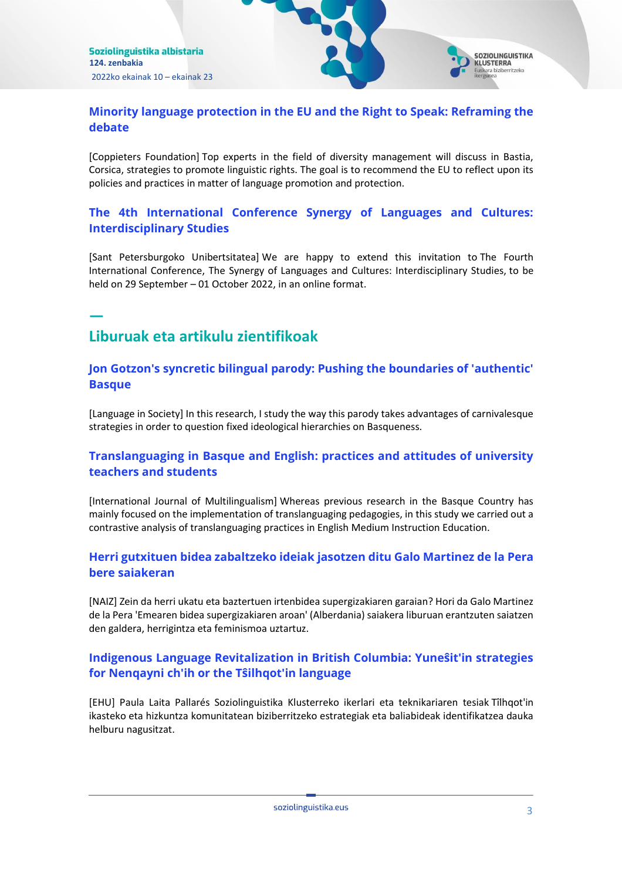

## **[Minority language protection in the EU and the Right to Speak: Reframing the](https://emun.intelsuite.es/index.php?option=com_idkjournal&task=redirect&plugin=k2_p1&iid=30883&journalid=62b42e0d66924&title=Minority+language+protection+in+the+EU+and+the+Right+to+Speak%3A+Reframing+the+debate&url=aHR0cHM6Ly9pZGVhc2ZvcmV1cm9wZS5ldS9hY3Rpdml0eS9ldmVudC9taW5vcml0eS1sYW5ndWFnZS1wcm90ZWN0aW9uLWluLXRoZS1ldS1hbmQtdGhlLXJpZ2h0LXRvLXNwZWFrLXJlZnJhbWluZy10aGUtZGViYXRlLw==)  [debate](https://emun.intelsuite.es/index.php?option=com_idkjournal&task=redirect&plugin=k2_p1&iid=30883&journalid=62b42e0d66924&title=Minority+language+protection+in+the+EU+and+the+Right+to+Speak%3A+Reframing+the+debate&url=aHR0cHM6Ly9pZGVhc2ZvcmV1cm9wZS5ldS9hY3Rpdml0eS9ldmVudC9taW5vcml0eS1sYW5ndWFnZS1wcm90ZWN0aW9uLWluLXRoZS1ldS1hbmQtdGhlLXJpZ2h0LXRvLXNwZWFrLXJlZnJhbWluZy10aGUtZGViYXRlLw==)**

[Coppieters Foundation] Top experts in the field of diversity management will discuss in Bastia, Corsica, strategies to promote linguistic rights. The goal is to recommend the EU to reflect upon its policies and practices in matter of language promotion and protection.

## **[The 4th International Conference Synergy of Languages and Cultures:](https://emun.intelsuite.es/index.php?option=com_idkjournal&task=redirect&plugin=k2_p1&iid=30881&journalid=62b42e0d66924&title=The+4th+International+Conference+Synergy+of+Languages+and+Cultures%3A+Interdisciplinary+Studies&url=aHR0cHM6Ly9zeW5lcmd5LnNwYnUucnUvbWFpbl9lbmc=)  [Interdisciplinary Studies](https://emun.intelsuite.es/index.php?option=com_idkjournal&task=redirect&plugin=k2_p1&iid=30881&journalid=62b42e0d66924&title=The+4th+International+Conference+Synergy+of+Languages+and+Cultures%3A+Interdisciplinary+Studies&url=aHR0cHM6Ly9zeW5lcmd5LnNwYnUucnUvbWFpbl9lbmc=)**

[Sant Petersburgoko Unibertsitatea] We are happy to extend this invitation to The Fourth International Conference, The Synergy of Languages and Cultures: Interdisciplinary Studies, to be held on 29 September – 01 October 2022, in an online format.

# **Liburuak eta artikulu zientifikoak**

**—**

#### **[Jon Gotzon's syncretic bilingual parody: Pushing the boundaries of 'authentic'](https://emun.intelsuite.es/index.php?option=com_idkjournal&task=redirect&plugin=k2_p1&iid=30880&journalid=62b42e0d66924&title=Jon+Gotzon%27s+syncretic+bilingual+parody%3A+Pushing+the+boundaries+of+%E2%80%98authentic%E2%80%99+Basque&url=aHR0cHM6Ly93d3cuY2FtYnJpZGdlLm9yZy9jb3JlL2pvdXJuYWxzL2xhbmd1YWdlLWluLXNvY2lldHkvYXJ0aWNsZS9hYnMvam9uLWdvdHpvbnMtc3luY3JldGljLWJpbGluZ3VhbC1wYXJvZHktcHVzaGluZy10aGUtYm91bmRhcmllcy1vZi1hdXRoZW50aWMtYmFzcXVlLzk3MTQ4QTU3QTQzMkI1OTIxMjI0OENDRjkzREVGRDlE)  [Basque](https://emun.intelsuite.es/index.php?option=com_idkjournal&task=redirect&plugin=k2_p1&iid=30880&journalid=62b42e0d66924&title=Jon+Gotzon%27s+syncretic+bilingual+parody%3A+Pushing+the+boundaries+of+%E2%80%98authentic%E2%80%99+Basque&url=aHR0cHM6Ly93d3cuY2FtYnJpZGdlLm9yZy9jb3JlL2pvdXJuYWxzL2xhbmd1YWdlLWluLXNvY2lldHkvYXJ0aWNsZS9hYnMvam9uLWdvdHpvbnMtc3luY3JldGljLWJpbGluZ3VhbC1wYXJvZHktcHVzaGluZy10aGUtYm91bmRhcmllcy1vZi1hdXRoZW50aWMtYmFzcXVlLzk3MTQ4QTU3QTQzMkI1OTIxMjI0OENDRjkzREVGRDlE)**

[Language in Society] In this research, I study the way this parody takes advantages of carnivalesque strategies in order to question fixed ideological hierarchies on Basqueness.

## **[Translanguaging in Basque and English: practices and attitudes of university](https://emun.intelsuite.es/index.php?option=com_idkjournal&task=redirect&plugin=k2_p1&iid=30876&journalid=62b42e0d66924&title=Translanguaging+in+Basque+and+English%3A+practices+and+attitudes+of+university+teachers+and+students&url=aHR0cHM6Ly93d3cudGFuZGZvbmxpbmUuY29tL2RvaS9mdWxsLzEwLjEwODAvMTQ3OTA3MTguMjAyMi4yMDg2OTg0P2FmPVI=)  [teachers and students](https://emun.intelsuite.es/index.php?option=com_idkjournal&task=redirect&plugin=k2_p1&iid=30876&journalid=62b42e0d66924&title=Translanguaging+in+Basque+and+English%3A+practices+and+attitudes+of+university+teachers+and+students&url=aHR0cHM6Ly93d3cudGFuZGZvbmxpbmUuY29tL2RvaS9mdWxsLzEwLjEwODAvMTQ3OTA3MTguMjAyMi4yMDg2OTg0P2FmPVI=)**

[International Journal of Multilingualism] Whereas previous research in the Basque Country has mainly focused on the implementation of translanguaging pedagogies, in this study we carried out a contrastive analysis of translanguaging practices in English Medium Instruction Education.

## **[Herri gutxituen bidea zabaltzeko ideiak jasotzen ditu Galo Martinez de la Pera](https://emun.intelsuite.es/index.php?option=com_idkjournal&task=redirect&plugin=k2_p1&iid=30875&journalid=62b42e0d66924&title=Herri+gutxituen+bidea+zabaltzeko+ideiak+jasotzen+ditu+Galo+Martinez+de+la+Pera+bere+saiakeran&url=aHR0cHM6Ly93d3cubmFpei5ldXMvZXUvaW5mby9ub3RpY2lhLzIwMjIwNjE1L2hlcnJpLWd1dHhpdHVlbi1iaWRlYS16YWJhbHR6ZWtvLWlkZWlhay1qYXNvdHplbi1kaXR1LWdhbG8tbWFydGluZXotZGUtbGEtcGVyYS1iZXJlLXNhaWFrZXJhbg==)  [bere saiakeran](https://emun.intelsuite.es/index.php?option=com_idkjournal&task=redirect&plugin=k2_p1&iid=30875&journalid=62b42e0d66924&title=Herri+gutxituen+bidea+zabaltzeko+ideiak+jasotzen+ditu+Galo+Martinez+de+la+Pera+bere+saiakeran&url=aHR0cHM6Ly93d3cubmFpei5ldXMvZXUvaW5mby9ub3RpY2lhLzIwMjIwNjE1L2hlcnJpLWd1dHhpdHVlbi1iaWRlYS16YWJhbHR6ZWtvLWlkZWlhay1qYXNvdHplbi1kaXR1LWdhbG8tbWFydGluZXotZGUtbGEtcGVyYS1iZXJlLXNhaWFrZXJhbg==)**

[NAIZ] Zein da herri ukatu eta baztertuen irtenbidea supergizakiaren garaian? Hori da Galo Martinez de la Pera 'Emearen bidea supergizakiaren aroan' (Alberdania) saiakera liburuan erantzuten saiatzen den galdera, herrigintza eta feminismoa uztartuz.

## **[Indigenous Language Revitalization in British Columbia: Yuneŝit'in strategies](https://emun.intelsuite.es/index.php?option=com_idkjournal&task=redirect&plugin=k2_p1&iid=30884&journalid=62b42e0d66924&title=Indigenous+Language+Revitalization+in+British+Columbia%3A+Yune%C5%9Dit%E2%80%99in+strategies+for+Nenqayni+ch%E2%80%99ih+or+the+T%C5%9Dilhqot%E2%80%99in+language&url=aHR0cHM6Ly9hZGRpLmVodS5lcy9oYW5kbGUvMTA4MTAvNTM3MTk=)  [for Nenqayni ch'ih or the Tŝilhqot'in language](https://emun.intelsuite.es/index.php?option=com_idkjournal&task=redirect&plugin=k2_p1&iid=30884&journalid=62b42e0d66924&title=Indigenous+Language+Revitalization+in+British+Columbia%3A+Yune%C5%9Dit%E2%80%99in+strategies+for+Nenqayni+ch%E2%80%99ih+or+the+T%C5%9Dilhqot%E2%80%99in+language&url=aHR0cHM6Ly9hZGRpLmVodS5lcy9oYW5kbGUvMTA4MTAvNTM3MTk=)**

[EHU] Paula Laita Pallarés Soziolinguistika Klusterreko ikerlari eta teknikariaren tesiak Tîlhqot'in ikasteko eta hizkuntza komunitatean biziberritzeko estrategiak eta baliabideak identifikatzea dauka helburu nagusitzat.